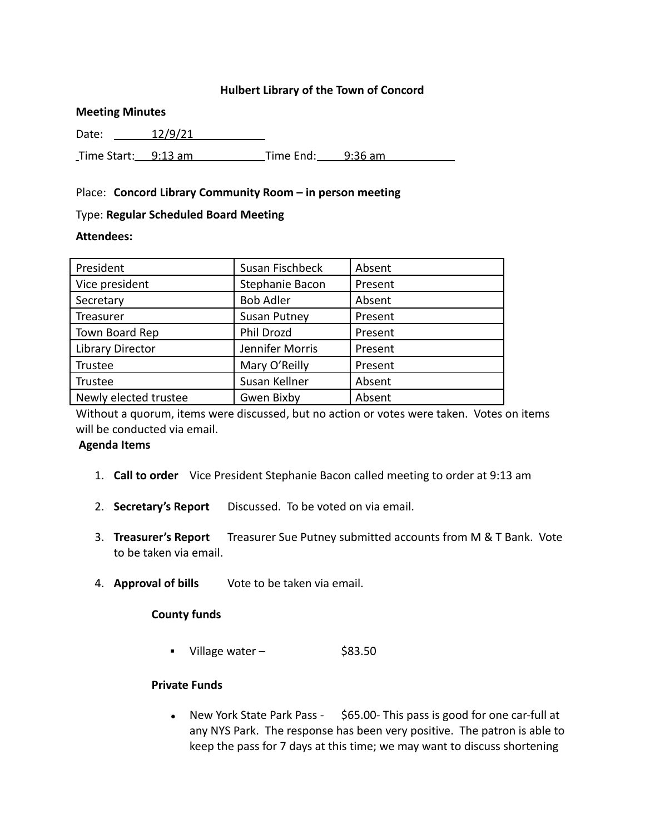### **Hulbert Library of the Town of Concord**

#### **Meeting Minutes**

Date: 12/9/21

Time Start: 9:13 am Time End: 9:36 am

#### Place: **Concord Library Community Room – in person meeting**

#### Type: **Regular Scheduled Board Meeting**

### **Attendees:**

| President             | Susan Fischbeck     | Absent  |
|-----------------------|---------------------|---------|
| Vice president        | Stephanie Bacon     | Present |
| Secretary             | <b>Bob Adler</b>    | Absent  |
| Treasurer             | <b>Susan Putney</b> | Present |
| Town Board Rep        | Phil Drozd          | Present |
| Library Director      | Jennifer Morris     | Present |
| Trustee               | Mary O'Reilly       | Present |
| Trustee               | Susan Kellner       | Absent  |
| Newly elected trustee | Gwen Bixby          | Absent  |

Without a quorum, items were discussed, but no action or votes were taken. Votes on items will be conducted via email.

#### **Agenda Items**

- 1. **Call to order** Vice President Stephanie Bacon called meeting to order at 9:13 am
- 2. **Secretary's Report** Discussed. To be voted on via email.
- 3. **Treasurer's Report** Treasurer Sue Putney submitted accounts from M & T Bank. Vote to be taken via email.
- 4. **Approval of bills** Vote to be taken via email.

#### **County funds**

 $\blacksquare$  Village water –  $\spadesuit$  \$83.50

### **Private Funds**

• New York State Park Pass - \$65.00- This pass is good for one car-full at any NYS Park. The response has been very positive. The patron is able to keep the pass for 7 days at this time; we may want to discuss shortening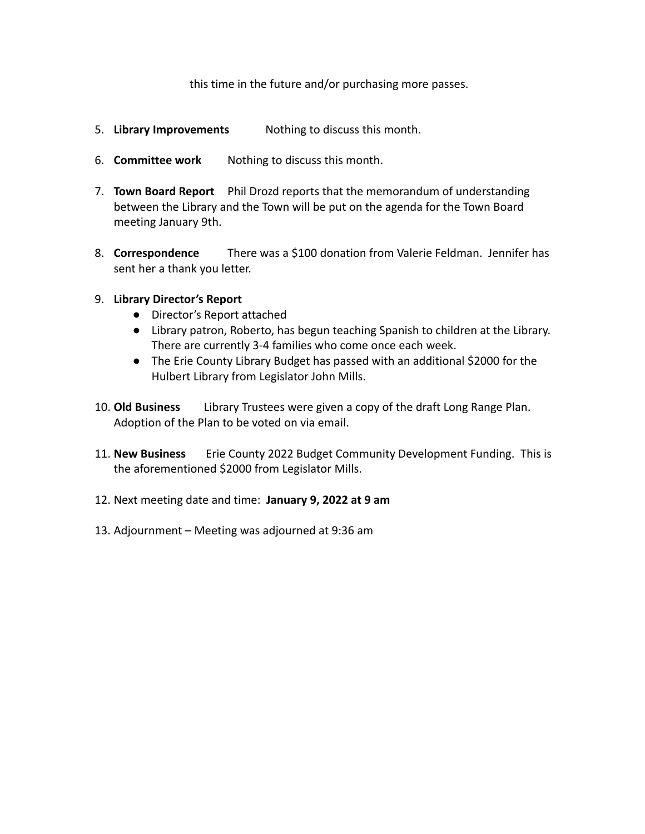this time in the future and/or purchasing more passes.

- 5. **Library Improvements** Nothing to discuss this month.
- 6. **Committee work** Nothing to discuss this month.
- 7. **Town Board Report** Phil Drozd reports that the memorandum of understanding between the Library and the Town will be put on the agenda for the Town Board meeting January 9th.
- 8. **Correspondence** There was a \$100 donation from Valerie Feldman. Jennifer has sent her a thank you letter.

## 9. **Library Director's Report**

- Director's Report attached
- Library patron, Roberto, has begun teaching Spanish to children at the Library. There are currently 3-4 families who come once each week.
- The Erie County Library Budget has passed with an additional \$2000 for the Hulbert Library from Legislator John Mills.
- 10. **Old Business** Library Trustees were given a copy of the draft Long Range Plan. Adoption of the Plan to be voted on via email.
- 11. **New Business** Erie County 2022 Budget Community Development Funding. This is the aforementioned \$2000 from Legislator Mills.
- 12. Next meeting date and time: **January 9, 2022 at 9 am**
- 13. Adjournment Meeting was adjourned at 9:36 am